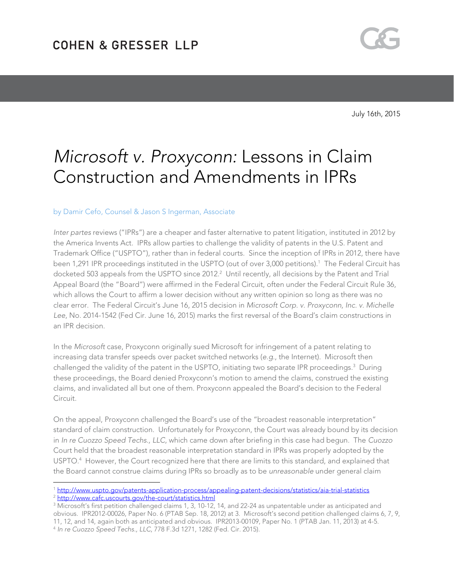

July 16th, 2015

# Microsoft v. Proxyconn: Lessons in Claim Construction and Amendments in IPRs

### by Damir Cefo, Counsel & Jason S Ingerman, Associate

 $\overline{a}$ 

Inter partes reviews ("IPRs") are a cheaper and faster alternative to patent litigation, instituted in 2012 by the America Invents Act. IPRs allow parties to challenge the validity of patents in the U.S. Patent and Trademark Office ("USPTO"), rather than in federal courts. Since the inception of IPRs in 2012, there have been 1,291 IPR proceedings instituted in the USPTO (out of over 3,000 petitions).<sup>1</sup> The Federal Circuit has docketed 503 appeals from the USPTO since 2012.2 Until recently, all decisions by the Patent and Trial Appeal Board (the "Board") were affirmed in the Federal Circuit, often under the Federal Circuit Rule 36, which allows the Court to affirm a lower decision without any written opinion so long as there was no clear error. The Federal Circuit's June 16, 2015 decision in Microsoft Corp. v. Proxyconn, Inc. v. Michelle Lee, No. 2014-1542 (Fed Cir. June 16, 2015) marks the first reversal of the Board's claim constructions in an IPR decision.

In the Microsoft case, Proxyconn originally sued Microsoft for infringement of a patent relating to increasing data transfer speeds over packet switched networks (e.g., the Internet). Microsoft then challenged the validity of the patent in the USPTO, initiating two separate IPR proceedings.<sup>3</sup> During these proceedings, the Board denied Proxyconn's motion to amend the claims, construed the existing claims, and invalidated all but one of them. Proxyconn appealed the Board's decision to the Federal Circuit.

On the appeal, Proxyconn challenged the Board's use of the "broadest reasonable interpretation" standard of claim construction. Unfortunately for Proxyconn, the Court was already bound by its decision in In re Cuozzo Speed Techs., LLC, which came down after briefing in this case had begun. The Cuozzo Court held that the broadest reasonable interpretation standard in IPRs was properly adopted by the USPTO.4 However, the Court recognized here that there are limits to this standard, and explained that the Board cannot construe claims during IPRs so broadly as to be unreasonable under general claim

<sup>1</sup> http://www.uspto.gov/patents-application-process/appealing-patent-decisions/statistics/aia-trial-statistics <sup>2</sup> http://www.cafc.uscourts.gov/the-court/statistics.html

 $^3$  Microsoft's first petition challenged claims 1, 3, 10-12, 14, and 22-24 as unpatentable under as anticipated and obvious. IPR2012-00026, Paper No. 6 (PTAB Sep. 18, 2012) at 3. Microsoft's second petition challenged claims 6, 7, 9, 11, 12, and 14, again both as anticipated and obvious. IPR2013-00109, Paper No. 1 (PTAB Jan. 11, 2013) at 4-5. <sup>4</sup> In re Cuozzo Speed Techs., LLC, 778 F.3d 1271, 1282 (Fed. Cir. 2015).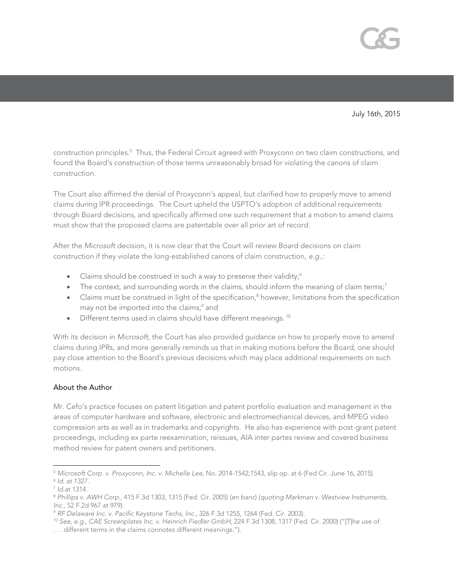

July 16th, 2015

construction principles.<sup>5</sup> Thus, the Federal Circuit agreed with Proxyconn on two claim constructions, and found the Board's construction of those terms unreasonably broad for violating the canons of claim construction.

The Court also affirmed the denial of Proxyconn's appeal, but clarified how to properly move to amend claims during IPR proceedings. The Court upheld the USPTO's adoption of additional requirements through Board decisions, and specifically affirmed one such requirement that a motion to amend claims must show that the proposed claims are patentable over all prior art of record.

After the Microsoft decision, it is now clear that the Court will review Board decisions on claim construction if they violate the long-established canons of claim construction, e.g.,:

- Claims should be construed in such a way to preserve their validity; $^6$
- $\bullet$  The context, and surrounding words in the claims, should inform the meaning of claim terms;<sup>7</sup>
- Claims must be construed in light of the specification,<sup>8</sup> however, limitations from the specification may not be imported into the claims;<sup>9</sup> and
- Different terms used in claims should have different meanings.<sup>10</sup>

With its decision in Microsoft, the Court has also provided guidance on how to properly move to amend claims during IPRs, and more generally reminds us that in making motions before the Board, one should pay close attention to the Board's previous decisions which may place additional requirements on such motions.

## About the Author

Mr. Cefo's practice focuses on patent litigation and patent portfolio evaluation and management in the areas of computer hardware and software, electronic and electromechanical devices, and MPEG video compression arts as well as in trademarks and copyrights. He also has experience with post-grant patent proceedings, including ex parte reexamination, reissues, AIA inter partes review and covered business method review for patent owners and petitioners.

 $\overline{a}$ <sup>5</sup> Microsoft Corp. v. Proxyconn, Inc. v. Michelle Lee, No. 2014-1542,1543, slip op. at 6 (Fed Cir. June 16, 2015).<br><sup>6</sup> Id. at 1327.<br><sup>7</sup> Id.at 1314.<br><sup>8</sup> Phillips v. AWH Corp., 415 F.3d 1303, 1315 (Fed. Cir. 2005) (en banc

Inc., 52 F.2d 967 at 979).<br><sup>9</sup> RF Delaware Inc. v. Pacific Keystone Techs, Inc., 326 F.3d 1255, 1264 (Fed. Cir. 2003).<br><sup>10</sup> See, e.g., CAE Screenplates Inc. v. Heinrich Fiedler GmbH, 224 F.3d 1308, 1317 (Fed. Cir. 2000) ("

<sup>. . .</sup> different terms in the claims connotes different meanings.").